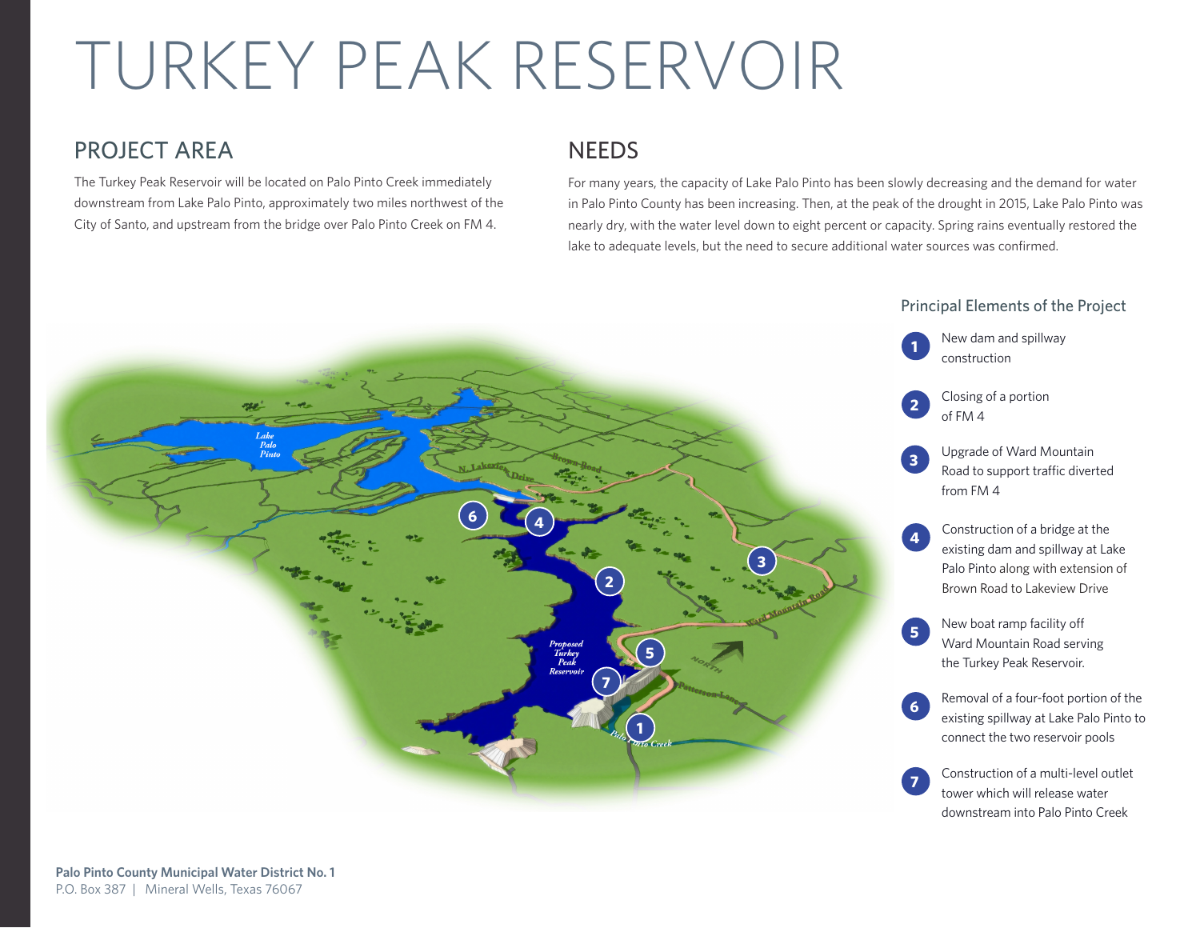# TURKEY PEAK RESERVOIR

#### PROJECT AREA

The Turkey Peak Reservoir will be located on Palo Pinto Creek immediately downstream from Lake Palo Pinto, approximately two miles northwest of the City of Santo, and upstream from the bridge over Palo Pinto Creek on FM 4.

#### **NEEDS**

For many years, the capacity of Lake Palo Pinto has been slowly decreasing and the demand for water in Palo Pinto County has been increasing. Then, at the peak of the drought in 2015, Lake Palo Pinto was nearly dry, with the water level down to eight percent or capacity. Spring rains eventually restored the lake to adequate levels, but the need to secure additional water sources was confirmed.